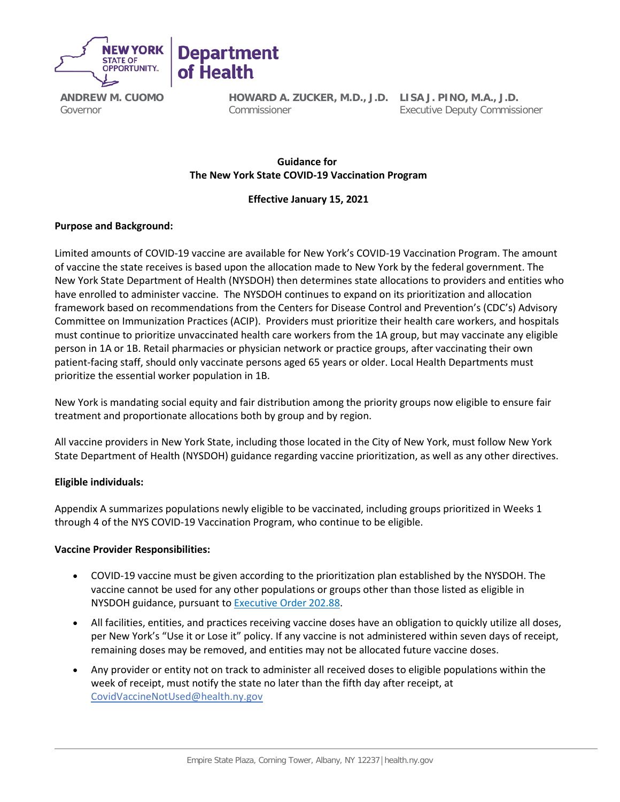

**ANDREW M. CUOMO** Governor

**HOWARD A. ZUCKER, M.D., J.D. LISA J. PINO, M.A., J.D.** Commissioner

Executive Deputy Commissioner

# **Guidance for   The New York State COVID-19 Vaccination Program**

### **Effective January 15, 2021**

## **Purpose and Background:**

Limited amounts of COVID-19 vaccine are available for New York's COVID-19 Vaccination Program. The amount of vaccine the state receives is based upon the allocation made to New York by the federal government. The New York State Department of Health (NYSDOH) then determines state allocations to providers and entities who have enrolled to administer vaccine. The NYSDOH continues to expand on its prioritization and allocation framework based on recommendations from the Centers for Disease Control and Prevention's (CDC's) Advisory Committee on Immunization Practices (ACIP). Providers must prioritize their health care workers, and hospitals must continue to prioritize unvaccinated health care workers from the 1A group, but may vaccinate any eligible person in 1A or 1B. Retail pharmacies or physician network or practice groups, after vaccinating their own patient-facing staff, should only vaccinate persons aged 65 years or older. Local Health Departments must prioritize the essential worker population in 1B.

New York is mandating social equity and fair distribution among the priority groups now eligible to ensure fair treatment and proportionate allocations both by group and by region.

All vaccine providers in New York State, including those located in the City of New York, must follow New York State Department of Health (NYSDOH) guidance regarding vaccine prioritization, as well as any other directives.

### **Eligible individuals:**

Appendix A summarizes populations newly eligible to be vaccinated, including groups prioritized in Weeks 1 through 4 of the NYS COVID-19 Vaccination Program, who continue to be eligible.  

### **Vaccine Provider Responsibilities:**

- COVID-19 vaccine must be given according to the prioritization plan established by the NYSDOH. The vaccine cannot be used for any other populations or groups other than those listed as eligible in NYSDOH guidance, pursuant to [Executive Order 202.88.](https://www.governor.ny.gov/news/no-20288-continuing-temporary-suspension-and-modification-laws-relating-disaster-emergency)
- All facilities, entities, and practices receiving vaccine doses have an obligation to quickly utilize all doses, per New York's "Use it or Lose it" policy. If any vaccine is not administered within seven days of receipt, remaining doses may be removed, and entities may not be allocated future vaccine doses.
- Any provider or entity not on track to administer all received doses to eligible populations within the week of receipt, must notify the state no later than the fifth day after receipt, at [CovidVaccineNotUsed@health.ny.gov](mailto:CovidVaccineNotUsed@health.ny.gov)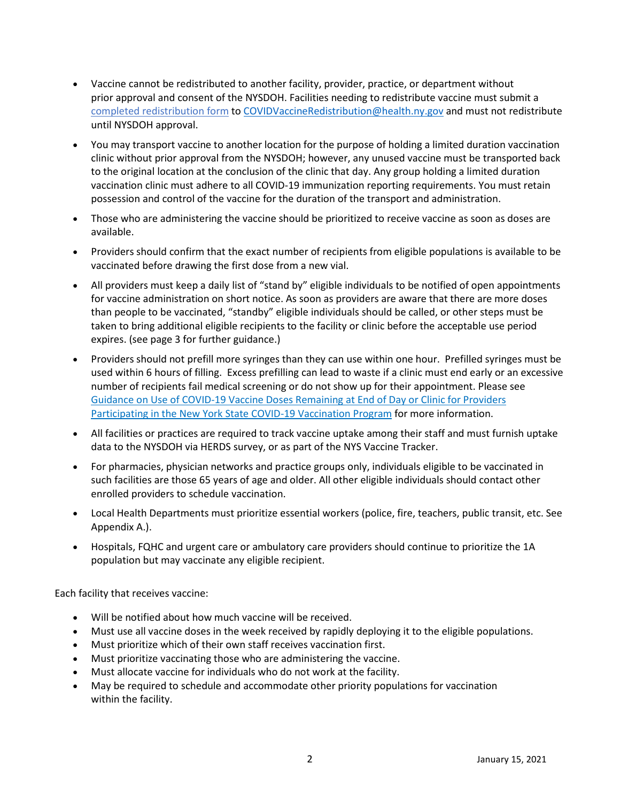- Vaccine cannot be redistributed to another facility, provider, practice, or department without prior approval and consent of the NYSDOH. Facilities needing to redistribute vaccine must submit a [completed redistribution form](https://coronavirus.health.ny.gov/system/files/documents/2021/01/redistributionqa_request-form_cdc_agreement_0.pdf) t[o COVIDVaccineRedistribution@health.ny.gov](mailto:COVIDVaccineRedistribution@health.ny.gov) and must not redistribute until NYSDOH approval.
- You may transport vaccine to another location for the purpose of holding a limited duration vaccination clinic without prior approval from the NYSDOH; however, any unused vaccine must be transported back to the original location at the conclusion of the clinic that day. Any group holding a limited duration vaccination clinic must adhere to all COVID-19 immunization reporting requirements. You must retain possession and control of the vaccine for the duration of the transport and administration.
- Those who are administering the vaccine should be prioritized to receive vaccine as soon as doses are available.
- Providers should confirm that the exact number of recipients from eligible populations is available to be vaccinated before drawing the first dose from a new vial.
- All providers must keep a daily list of "stand by" eligible individuals to be notified of open appointments for vaccine administration on short notice. As soon as providers are aware that there are more doses than people to be vaccinated, "standby" eligible individuals should be called, or other steps must be taken to bring additional eligible recipients to the facility or clinic before the acceptable use period expires. (see page 3 for further guidance.)
- Providers should not prefill more syringes than they can use within one hour. Prefilled syringes must be used within 6 hours of filling. Excess prefilling can lead to waste if a clinic must end early or an excessive number of recipients fail medical screening or do not show up for their appointment. Please see [Guidance on Use of COVID-19 Vaccine Doses Remaining at End of Day or Clinic for Providers](https://coronavirus.health.ny.gov/system/files/documents/2021/01/guidance_about_to_expire_remaining_doses_of_covid_19_vaccine010921.pdf)  [Participating in the New York State COVID-19 Vaccination Program](https://coronavirus.health.ny.gov/system/files/documents/2021/01/guidance_about_to_expire_remaining_doses_of_covid_19_vaccine010921.pdf) for more information.
- All facilities or practices are required to track vaccine uptake among their staff and must furnish uptake data to the NYSDOH via HERDS survey, or as part of the NYS Vaccine Tracker.
- For pharmacies, physician networks and practice groups only, individuals eligible to be vaccinated in such facilities are those 65 years of age and older. All other eligible individuals should contact other enrolled providers to schedule vaccination.
- Local Health Departments must prioritize essential workers (police, fire, teachers, public transit, etc. See Appendix A.).
- Hospitals, FQHC and urgent care or ambulatory care providers should continue to prioritize the 1A population but may vaccinate any eligible recipient.

Each facility that receives vaccine: 

- Will be notified about how much vaccine will be received.
- Must use all vaccine doses in the week received by rapidly deploying it to the eligible populations.
- Must prioritize which of their own staff receives vaccination first.
- Must prioritize vaccinating those who are administering the vaccine.
- Must allocate vaccine for individuals who do not work at the facility.
- May be required to schedule and accommodate other priority populations for vaccination within the facility.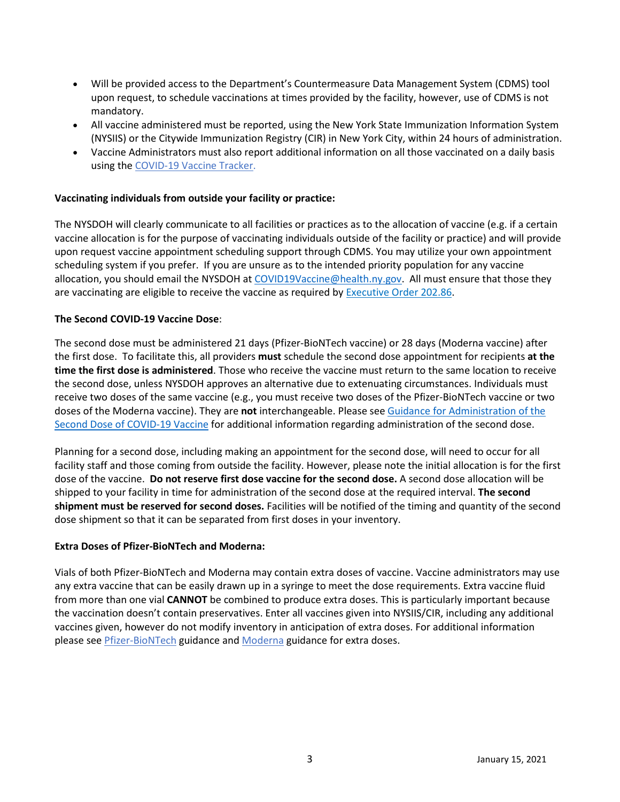- Will be provided access to the Department's Countermeasure Data Management System (CDMS) tool upon request, to schedule vaccinations at times provided by the facility, however, use of CDMS is not mandatory.
- All vaccine administered must be reported, using the New York State Immunization Information System (NYSIIS) or the Citywide Immunization Registry (CIR) in New York City, within 24 hours of administration.
- Vaccine Administrators must also report additional information on all those vaccinated on a daily basis using th[e COVID-19 Vaccine Tracker.](https://forms.ny.gov/s3/COVID-Vaccine-Tracker)

### **Vaccinating individuals from outside your facility or practice:**

The NYSDOH will clearly communicate to all facilities or practices as to the allocation of vaccine (e.g. if a certain vaccine allocation is for the purpose of vaccinating individuals outside of the facility or practice) and will provide upon request vaccine appointment scheduling support through CDMS. You may utilize your own appointment scheduling system if you prefer. If you are unsure as to the intended priority population for any vaccine allocation, you should email the NYSDOH a[t COVID19Vaccine@health.ny.gov.](mailto:COVID19Vaccine@health.ny.gov) All must ensure that those they are vaccinating are eligible to receive the vaccine as required b[y Executive Order 202.86.](https://www.governor.ny.gov/news/no-20286-continuing-temporary-suspension-and-modification-laws-relating-disaster-emergency)

#### **The Second COVID-19 Vaccine Dose**:

The second dose must be administered 21 days (Pfizer-BioNTech vaccine) or 28 days (Moderna vaccine) after the first dose. To facilitate this, all providers **must** schedule the second dose appointment for recipients **at the time the first dose is administered**. Those who receive the vaccine must return to the same location to receive the second dose, unless NYSDOH approves an alternative due to extenuating circumstances. Individuals must receive two doses of the same vaccine (e.g., you must receive two doses of the Pfizer-BioNTech vaccine or two doses of the Moderna vaccine). They are **not** interchangeable. Please see [Guidance for Administration of the](https://coronavirus.health.ny.gov/system/files/documents/2021/01/seconddoseguidance_0.pdf)  [Second Dose of COVID-19 Vaccine](https://coronavirus.health.ny.gov/system/files/documents/2021/01/seconddoseguidance_0.pdf) for additional information regarding administration of the second dose.

Planning for a second dose, including making an appointment for the second dose, will need to occur for all facility staff and those coming from outside the facility. However, please note the initial allocation is for the first dose of the vaccine. **Do not reserve first dose vaccine for the second dose.**A second dose allocation will be shipped to your facility in time for administration of the second dose at the required interval. **The second shipment must be reserved for second doses.**Facilities will be notified of the timing and quantity of the second dose shipment so that it can be separated from first doses in your inventory.

### **Extra Doses of Pfizer-BioNTech and Moderna:**

Vials of both Pfizer-BioNTech and Moderna may contain extra doses of vaccine. Vaccine administrators may use any extra vaccine that can be easily drawn up in a syringe to meet the dose requirements. Extra vaccine fluid from more than one vial **CANNOT** be combined to produce extra doses. This is particularly important because the vaccination doesn't contain preservatives. Enter all vaccines given into NYSIIS/CIR, including any additional vaccines given, however do not modify inventory in anticipation of extra doses. For additional information please see Pfizer-BioNTech guidance and [Moderna](https://coronavirus.health.ny.gov/system/files/documents/2021/01/modernaextradosepackage.pdf) guidance for extra doses.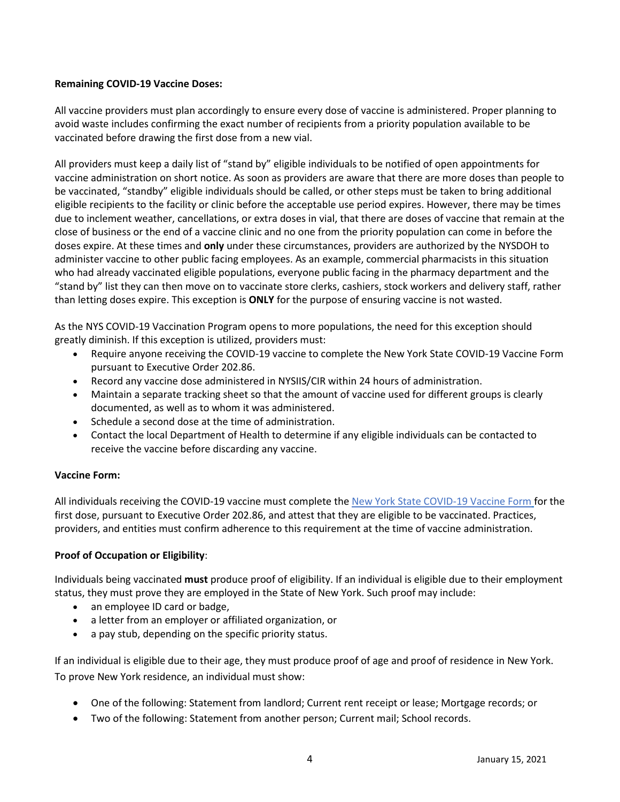## **Remaining COVID-19 Vaccine Doses:**

All vaccine providers must plan accordingly to ensure every dose of vaccine is administered. Proper planning to avoid waste includes confirming the exact number of recipients from a priority population available to be vaccinated before drawing the first dose from a new vial.

All providers must keep a daily list of "stand by" eligible individuals to be notified of open appointments for vaccine administration on short notice. As soon as providers are aware that there are more doses than people to be vaccinated, "standby" eligible individuals should be called, or other steps must be taken to bring additional eligible recipients to the facility or clinic before the acceptable use period expires. However, there may be times due to inclement weather, cancellations, or extra doses in vial, that there are doses of vaccine that remain at the close of business or the end of a vaccine clinic and no one from the priority population can come in before the doses expire. At these times and **only** under these circumstances, providers are authorized by the NYSDOH to administer vaccine to other public facing employees. As an example, commercial pharmacists in this situation who had already vaccinated eligible populations, everyone public facing in the pharmacy department and the "stand by" list they can then move on to vaccinate store clerks, cashiers, stock workers and delivery staff, rather than letting doses expire. This exception is **ONLY** for the purpose of ensuring vaccine is not wasted.

As the NYS COVID-19 Vaccination Program opens to more populations, the need for this exception should greatly diminish. If this exception is utilized, providers must:

- Require anyone receiving the COVID-19 vaccine to complete the New York State COVID-19 Vaccine Form pursuant to Executive Order 202.86.
- Record any vaccine dose administered in NYSIIS/CIR within 24 hours of administration.
- Maintain a separate tracking sheet so that the amount of vaccine used for different groups is clearly documented, as well as to whom it was administered.
- Schedule a second dose at the time of administration.
- Contact the local Department of Health to determine if any eligible individuals can be contacted to receive the vaccine before discarding any vaccine.

### **Vaccine Form:**

All individuals receiving the COVID-19 vaccine must complete th[e New York State COVID-](https://forms.ny.gov/s3/vaccine)19 Vaccine Form for the first dose, pursuant to Executive Order 202.86, and attest that they are eligible to be vaccinated. Practices, providers, and entities must confirm adherence to this requirement at the time of vaccine administration.

### **Proof of Occupation or Eligibility**:

Individuals being vaccinated **must** produce proof of eligibility. If an individual is eligible due to their employment status, they must prove they are employed in the State of New York. Such proof may include:

- an employee ID card or badge,
- a letter from an employer or affiliated organization, or
- a pay stub, depending on the specific priority status.

If an individual is eligible due to their age, they must produce proof of age and proof of residence in New York. To prove New York residence, an individual must show:

- One of the following: Statement from landlord; Current rent receipt or lease; Mortgage records; or
- Two of the following: Statement from another person; Current mail; School records.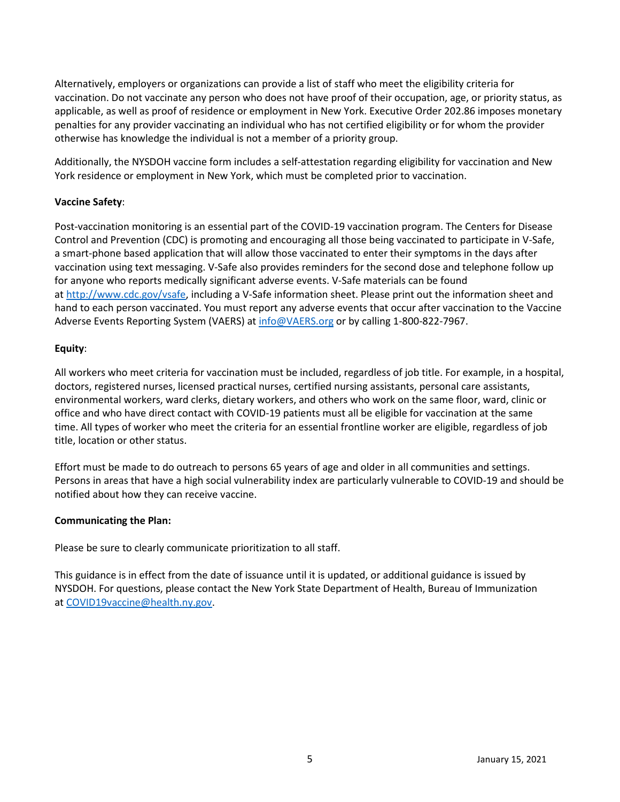Alternatively, employers or organizations can provide a list of staff who meet the eligibility criteria for vaccination. Do not vaccinate any person who does not have proof of their occupation, age, or priority status, as applicable, as well as proof of residence or employment in New York. Executive Order 202.86 imposes monetary penalties for any provider vaccinating an individual who has not certified eligibility or for whom the provider otherwise has knowledge the individual is not a member of a priority group.

Additionally, the NYSDOH vaccine form includes a self-attestation regarding eligibility for vaccination and New York residence or employment in New York, which must be completed prior to vaccination.

## **Vaccine Safety**:

Post-vaccination monitoring is an essential part of the COVID-19 vaccination program. The Centers for Disease Control and Prevention (CDC) is promoting and encouraging all those being vaccinated to participate in V-Safe, a smart-phone based application that will allow those vaccinated to enter their symptoms in the days after vaccination using text messaging. V-Safe also provides reminders for the second dose and telephone follow up for anyone who reports medically significant adverse events. V-Safe materials can be found at [http://www.cdc.gov/vsafe,](http://www.cdc.gov/vsafe) including a V-Safe information sheet. Please print out the information sheet and hand to each person vaccinated. You must report any adverse events that occur after vaccination to the Vaccine Adverse Events Reporting System (VAERS) a[t info@VAERS.org](mailto:info@VAERS.org) or by calling 1-800-822-7967.

## **Equity**:

All workers who meet criteria for vaccination must be included, regardless of job title. For example, in a hospital, doctors, registered nurses, licensed practical nurses, certified nursing assistants, personal care assistants, environmental workers, ward clerks, dietary workers, and others who work on the same floor, ward, clinic or office and who have direct contact with COVID-19 patients must all be eligible for vaccination at the same time. All types of worker who meet the criteria for an essential frontline worker are eligible, regardless of job title, location or other status.

Effort must be made to do outreach to persons 65 years of age and older in all communities and settings. Persons in areas that have a high social vulnerability index are particularly vulnerable to COVID-19 and should be notified about how they can receive vaccine.

### **Communicating the Plan:**

Please be sure to clearly communicate prioritization to all staff.  

This guidance is in effect from the date of issuance until it is updated, or additional guidance is issued by NYSDOH. For questions, please contact the New York State Department of Health, Bureau of Immunization at [COVID19vaccine@health.ny.gov.](mailto:COVID19vaccine@health.ny.gov)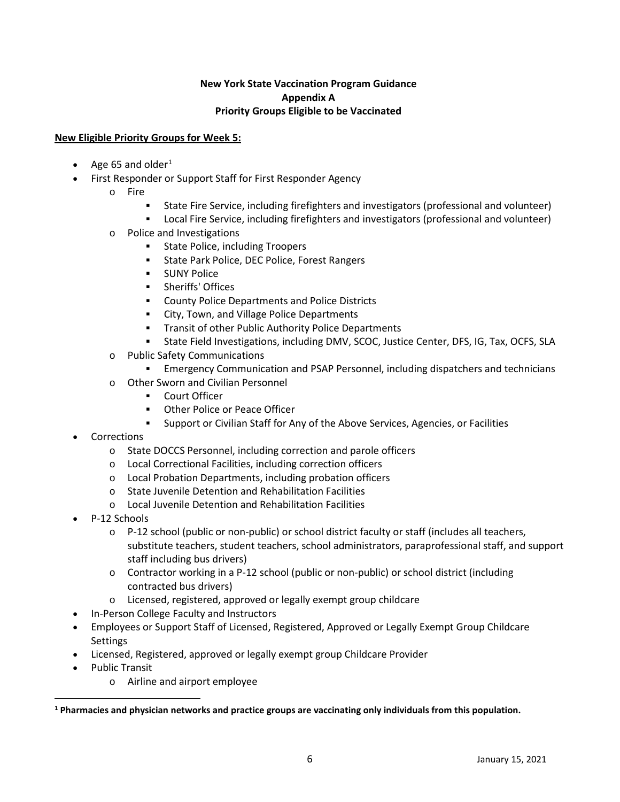## **New York State Vaccination Program Guidance Appendix A Priority Groups Eligible to be Vaccinated**

## **New Eligible Priority Groups for Week 5:**

- Age 65 and older<sup>[1](#page-5-0)</sup>
- First Responder or Support Staff for First Responder Agency
	- o Fire
		- State Fire Service, including firefighters and investigators (professional and volunteer)
		- Local Fire Service, including firefighters and investigators (professional and volunteer)
	- o Police and Investigations
		- State Police, including Troopers
		- State Park Police, DEC Police, Forest Rangers
		- **SUNY Police**
		- **Sheriffs' Offices**
		- **EXECOUNTY Police Departments and Police Districts**
		- **EXECT:** City, Town, and Village Police Departments
		- **Transit of other Public Authority Police Departments**
		- State Field Investigations, including DMV, SCOC, Justice Center, DFS, IG, Tax, OCFS, SLA
	- o Public Safety Communications
		- Emergency Communication and PSAP Personnel, including dispatchers and technicians
	- o Other Sworn and Civilian Personnel
		- **Court Officer**
		- **Other Police or Peace Officer**
		- Support or Civilian Staff for Any of the Above Services, Agencies, or Facilities
- **Corrections** 
	- o State DOCCS Personnel, including correction and parole officers
	- o Local Correctional Facilities, including correction officers
	- o Local Probation Departments, including probation officers
	- o State Juvenile Detention and Rehabilitation Facilities
	- o Local Juvenile Detention and Rehabilitation Facilities
- P-12 Schools
	- $\circ$  P-12 school (public or non-public) or school district faculty or staff (includes all teachers, substitute teachers, student teachers, school administrators, paraprofessional staff, and support staff including bus drivers)
	- o Contractor working in a P-12 school (public or non-public) or school district (including contracted bus drivers)
	- o Licensed, registered, approved or legally exempt group childcare
	- In-Person College Faculty and Instructors
- Employees or Support Staff of Licensed, Registered, Approved or Legally Exempt Group Childcare Settings
- Licensed, Registered, approved or legally exempt group Childcare Provider
- Public Transit
	- o Airline and airport employee

<span id="page-5-0"></span>**<sup>1</sup> Pharmacies and physician networks and practice groups are vaccinating only individuals from this population.**